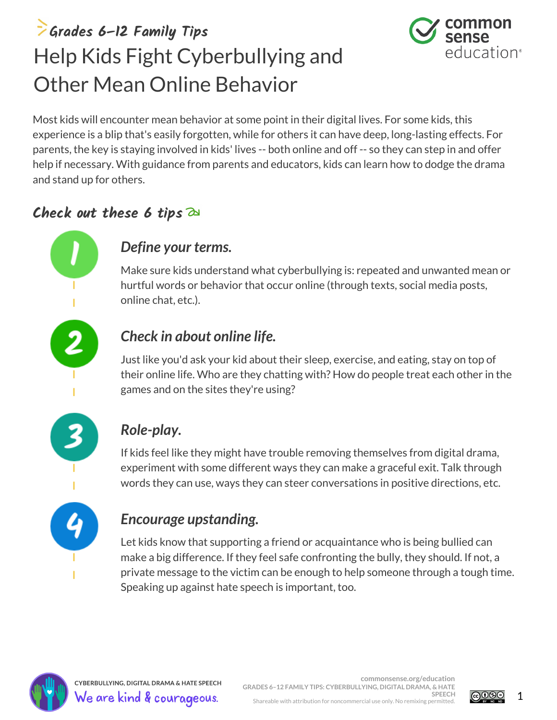## **Grades 6–12 Family Tips** Help Kids Fight Cyberbullying and Other Mean Online Behavior



Most kids will encounter mean behavior at some point in their digital lives. For some kids, this experience is a blip that's easily forgotten, while for others it can have deep, long-lasting effects. For parents, the key is staying involved in kids' lives -- both online and off -- so they can step in and offer help if necessary. With guidance from parents and educators, kids can learn how to dodge the drama and stand up for others.

### **Check out these 6 tips**

### *Define your terms.*

Make sure kids understand what cyberbullying is: repeated and unwanted mean or hurtful words or behavior that occur online (through texts, social media posts, online chat, etc.).

### *Check in about online life.*

Just like you'd ask your kid about their sleep, exercise, and eating, stay on top of their online life. Who are they chatting with? How do people treat each other in the games and on the sites they're using?



### *Role-play.*

If kids feel like they might have trouble removing themselves from digital drama, experiment with some different ways they can make a graceful exit. Talk through words they can use, ways they can steer conversations in positive directions, etc.

### *Encourage upstanding.*

Let kids know that supporting a friend or acquaintance who is being bullied can make a big difference. If they feel safe confronting the bully, they should. If not, a private message to the victim can be enough to help someone through a tough time. Speaking up against hate speech is important, too.



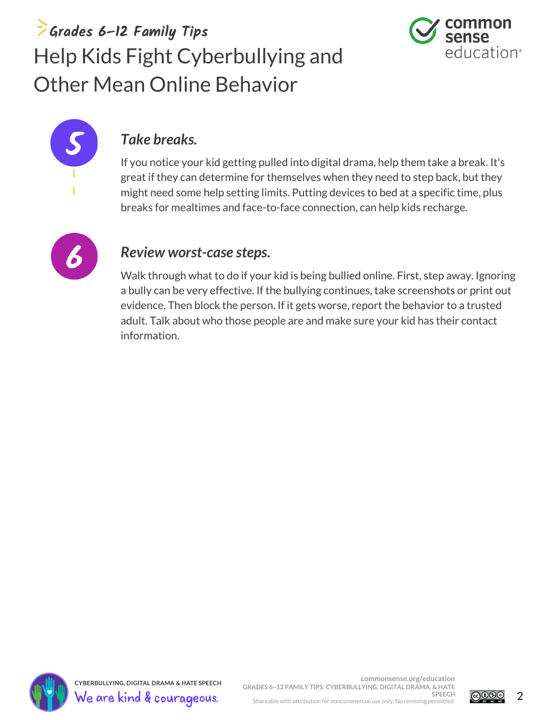### **Grades 6–12 Family Tips** Help Kids Fight Cyberbullying and Other Mean Online Behavior





#### *Take breaks.*

If you notice your kid getting pulled into digital drama, help them take a break. It's great if they can determine for themselves when they need to step back, but they might need some help setting limits. Putting devices to bed at a specific time, plus breaks for mealtimes and face-to-face connection, can help kids recharge.



#### *Review worst-case steps.*

Walk through what to do if your kid is being bullied online. First, step away. Ignoring a bully can be very effective. If the bullying continues, take screenshots or print out evidence. Then block the person. If it gets worse, report the behavior to a trusted adult. Talk about who those people are and make sure your kid has their contact information.



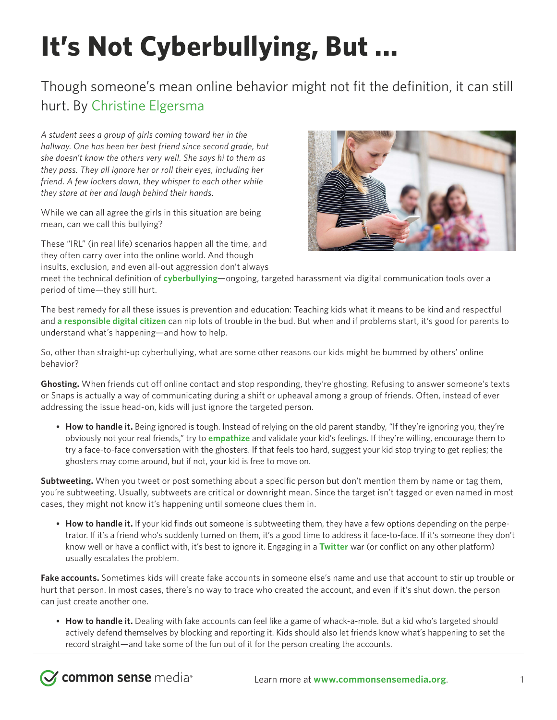# **It's Not Cyberbullying, But ...**

### Though someone's mean online behavior might not fit the definition, it can still hurt. By [Christine Elgersma](https://www.commonsensemedia.org/users/christine-elgersma/bio)

*A student sees a group of girls coming toward her in the hallway. One has been her best friend since second grade, but she doesn't know the others very well. She says hi to them as they pass. They all ignore her or roll their eyes, including her friend. A few lockers down, they whisper to each other while they stare at her and laugh behind their hands.*

While we can all agree the girls in this situation are being mean, can we call this bullying?

These "IRL" (in real life) scenarios happen all the time, and they often carry over into the online world. And though insults, exclusion, and even all-out aggression don't always

**Z common sense** media<sup>®</sup>



meet the technical definition of **[cyberbullying](https://www.commonsensemedia.org/cyberbullying/what-is-cyberbullying)**—ongoing, targeted harassment via digital communication tools over a period of time—they still hurt.

The best remedy for all these issues is prevention and education: Teaching kids what it means to be kind and respectful and **[a responsible digital citizen](https://www.commonsense.org/education/digital-compass)** can nip lots of trouble in the bud. But when and if problems start, it's good for parents to understand what's happening—and how to help.

So, other than straight-up cyberbullying, what are some other reasons our kids might be bummed by others' online behavior?

**Ghosting.** When friends cut off online contact and stop responding, they're ghosting. Refusing to answer someone's texts or Snaps is actually a way of communicating during a shift or upheaval among a group of friends. Often, instead of ever addressing the issue head-on, kids will just ignore the targeted person.

• **How to handle it.** Being ignored is tough. Instead of relying on the old parent standby, "If they're ignoring you, they're obviously not your real friends," try to **[empathize](https://www.commonsensemedia.org/character-strengths-and-life-skills)** and validate your kid's feelings. If they're willing, encourage them to try a face-to-face conversation with the ghosters. If that feels too hard, suggest your kid stop trying to get replies; the ghosters may come around, but if not, your kid is free to move on.

**Subtweeting.** When you tweet or post something about a specific person but don't mention them by name or tag them, you're subtweeting. Usually, subtweets are critical or downright mean. Since the target isn't tagged or even named in most cases, they might not know it's happening until someone clues them in.

• **How to handle it.** If your kid finds out someone is subtweeting them, they have a few options depending on the perpetrator. If it's a friend who's suddenly turned on them, it's a good time to address it face-to-face. If it's someone they don't know well or have a conflict with, it's best to ignore it. Engaging in a **[Twitter](https://www.commonsensemedia.org/website-reviews/twitter)** war (or conflict on any other platform) usually escalates the problem.

**Fake accounts.** Sometimes kids will create fake accounts in someone else's name and use that account to stir up trouble or hurt that person. In most cases, there's no way to trace who created the account, and even if it's shut down, the person can just create another one.

• **How to handle it.** Dealing with fake accounts can feel like a game of whack-a-mole. But a kid who's targeted should actively defend themselves by blocking and reporting it. Kids should also let friends know what's happening to set the record straight—and take some of the fun out of it for the person creating the accounts.